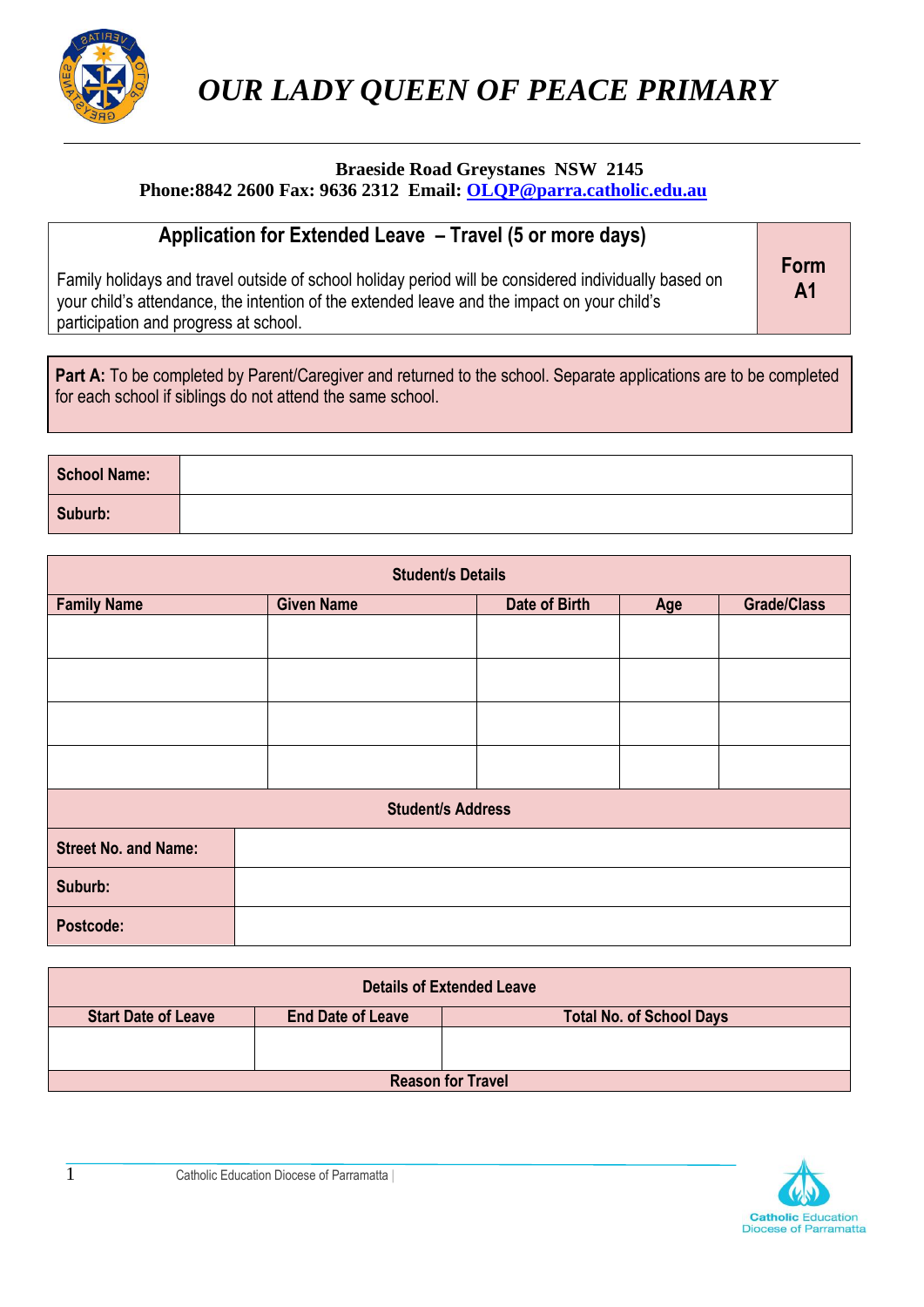

 *OUR LADY QUEEN OF PEACE PRIMARY*

#### **Braeside Road Greystanes NSW 2145 Phone:8842 2600 Fax: 9636 2312 Email: [OLQP@parra.catholic.edu.au](mailto:OLQP@parra.catholic.edu.au)**

## **Application for Extended Leave – Travel (5 or more days)**

Family holidays and travel outside of school holiday period will be considered individually based on your child's attendance, the intention of the extended leave and the impact on your child's participation and progress at school.

**Form A1**

Part A: To be completed by Parent/Caregiver and returned to the school. Separate applications are to be completed for each school if siblings do not attend the same school.

| <b>School Name:</b> |  |
|---------------------|--|
| Suburb:             |  |

| <b>Student/s Details</b>    |                   |               |     |                    |
|-----------------------------|-------------------|---------------|-----|--------------------|
| <b>Family Name</b>          | <b>Given Name</b> | Date of Birth | Age | <b>Grade/Class</b> |
|                             |                   |               |     |                    |
|                             |                   |               |     |                    |
|                             |                   |               |     |                    |
|                             |                   |               |     |                    |
| <b>Student/s Address</b>    |                   |               |     |                    |
| <b>Street No. and Name:</b> |                   |               |     |                    |
| Suburb:                     |                   |               |     |                    |
| Postcode:                   |                   |               |     |                    |

|                            |                          | <b>Details of Extended Leave</b> |
|----------------------------|--------------------------|----------------------------------|
| <b>Start Date of Leave</b> | <b>End Date of Leave</b> | <b>Total No. of School Days</b>  |
|                            |                          |                                  |
|                            |                          |                                  |
|                            |                          | <b>Reason for Travel</b>         |

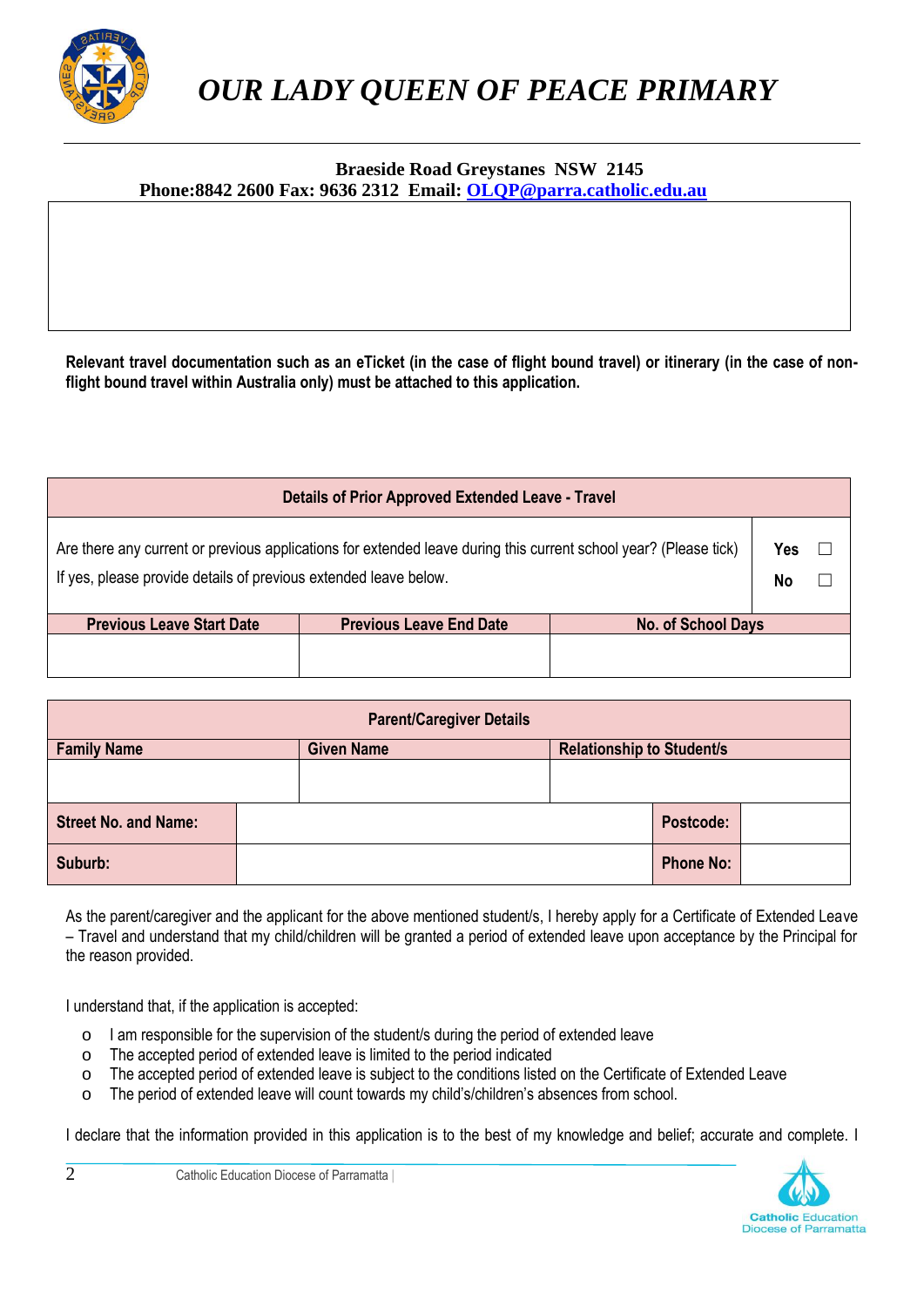

#### **Braeside Road Greystanes NSW 2145 Phone:8842 2600 Fax: 9636 2312 Email: [OLQP@parra.catholic.edu.au](mailto:OLQP@parra.catholic.edu.au)**

**Relevant travel documentation such as an eTicket (in the case of flight bound travel) or itinerary (in the case of nonflight bound travel within Australia only) must be attached to this application.**

|                                                                                                                                                                                      | <b>Details of Prior Approved Extended Leave - Travel</b> |                           |           |  |
|--------------------------------------------------------------------------------------------------------------------------------------------------------------------------------------|----------------------------------------------------------|---------------------------|-----------|--|
| Are there any current or previous applications for extended leave during this current school year? (Please tick)<br>If yes, please provide details of previous extended leave below. |                                                          |                           | Yes<br>No |  |
| <b>Previous Leave Start Date</b>                                                                                                                                                     | <b>Previous Leave End Date</b>                           | <b>No. of School Days</b> |           |  |
|                                                                                                                                                                                      |                                                          |                           |           |  |

| <b>Parent/Caregiver Details</b> |  |                   |           |                                  |                  |  |
|---------------------------------|--|-------------------|-----------|----------------------------------|------------------|--|
| <b>Family Name</b>              |  | <b>Given Name</b> |           | <b>Relationship to Student/s</b> |                  |  |
|                                 |  |                   |           |                                  |                  |  |
| <b>Street No. and Name:</b>     |  |                   | Postcode: |                                  |                  |  |
| Suburb:                         |  |                   |           |                                  | <b>Phone No:</b> |  |

As the parent/caregiver and the applicant for the above mentioned student/s, I hereby apply for a Certificate of Extended Leave – Travel and understand that my child/children will be granted a period of extended leave upon acceptance by the Principal for the reason provided.

I understand that, if the application is accepted:

- o I am responsible for the supervision of the student/s during the period of extended leave
- o The accepted period of extended leave is limited to the period indicated
- o The accepted period of extended leave is subject to the conditions listed on the Certificate of Extended Leave
- o The period of extended leave will count towards my child's/children's absences from school.

I declare that the information provided in this application is to the best of my knowledge and belief; accurate and complete. I

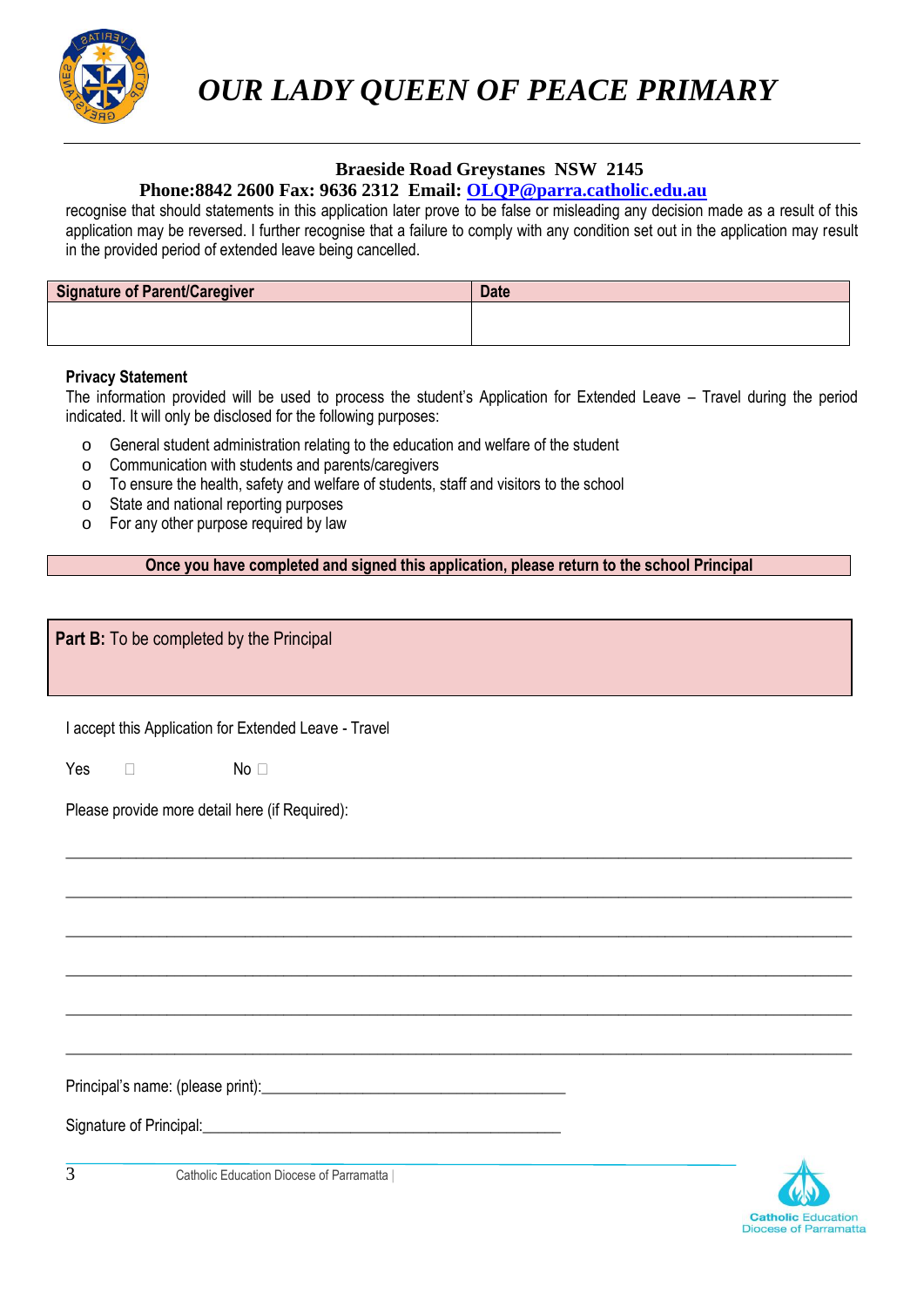

 *OUR LADY QUEEN OF PEACE PRIMARY*

#### **Braeside Road Greystanes NSW 2145**

### **Phone:8842 2600 Fax: 9636 2312 Email: [OLQP@parra.catholic.edu.au](mailto:OLQP@parra.catholic.edu.au)**

recognise that should statements in this application later prove to be false or misleading any decision made as a result of this application may be reversed. I further recognise that a failure to comply with any condition set out in the application may result in the provided period of extended leave being cancelled.

| <b>Signature of Parent/Caregiver</b> | <b>Date</b> |
|--------------------------------------|-------------|
|                                      |             |
|                                      |             |

#### **Privacy Statement**

The information provided will be used to process the student's Application for Extended Leave – Travel during the period indicated. It will only be disclosed for the following purposes:

- o General student administration relating to the education and welfare of the student
- o Communication with students and parents/caregivers
- o To ensure the health, safety and welfare of students, staff and visitors to the school
- o State and national reporting purposes
- o For any other purpose required by law

**Once you have completed and signed this application, please return to the school Principal**

\_\_\_\_\_\_\_\_\_\_\_\_\_\_\_\_\_\_\_\_\_\_\_\_\_\_\_\_\_\_\_\_\_\_\_\_\_\_\_\_\_\_\_\_\_\_\_\_\_\_\_\_\_\_\_\_\_\_\_\_\_\_\_\_\_\_\_\_\_\_\_\_\_\_\_\_\_\_\_\_\_\_\_\_\_\_\_\_\_\_\_\_\_\_\_\_\_\_\_\_\_

\_\_\_\_\_\_\_\_\_\_\_\_\_\_\_\_\_\_\_\_\_\_\_\_\_\_\_\_\_\_\_\_\_\_\_\_\_\_\_\_\_\_\_\_\_\_\_\_\_\_\_\_\_\_\_\_\_\_\_\_\_\_\_\_\_\_\_\_\_\_\_\_\_\_\_\_\_\_\_\_\_\_\_\_\_\_\_\_\_\_\_\_\_\_\_\_\_\_\_\_\_

\_\_\_\_\_\_\_\_\_\_\_\_\_\_\_\_\_\_\_\_\_\_\_\_\_\_\_\_\_\_\_\_\_\_\_\_\_\_\_\_\_\_\_\_\_\_\_\_\_\_\_\_\_\_\_\_\_\_\_\_\_\_\_\_\_\_\_\_\_\_\_\_\_\_\_\_\_\_\_\_\_\_\_\_\_\_\_\_\_\_\_\_\_\_\_\_\_\_\_\_\_

\_\_\_\_\_\_\_\_\_\_\_\_\_\_\_\_\_\_\_\_\_\_\_\_\_\_\_\_\_\_\_\_\_\_\_\_\_\_\_\_\_\_\_\_\_\_\_\_\_\_\_\_\_\_\_\_\_\_\_\_\_\_\_\_\_\_\_\_\_\_\_\_\_\_\_\_\_\_\_\_\_\_\_\_\_\_\_\_\_\_\_\_\_\_\_\_\_\_\_\_\_

\_\_\_\_\_\_\_\_\_\_\_\_\_\_\_\_\_\_\_\_\_\_\_\_\_\_\_\_\_\_\_\_\_\_\_\_\_\_\_\_\_\_\_\_\_\_\_\_\_\_\_\_\_\_\_\_\_\_\_\_\_\_\_\_\_\_\_\_\_\_\_\_\_\_\_\_\_\_\_\_\_\_\_\_\_\_\_\_\_\_\_\_\_\_\_\_\_\_\_\_\_

\_\_\_\_\_\_\_\_\_\_\_\_\_\_\_\_\_\_\_\_\_\_\_\_\_\_\_\_\_\_\_\_\_\_\_\_\_\_\_\_\_\_\_\_\_\_\_\_\_\_\_\_\_\_\_\_\_\_\_\_\_\_\_\_\_\_\_\_\_\_\_\_\_\_\_\_\_\_\_\_\_\_\_\_\_\_\_\_\_\_\_\_\_\_\_\_\_\_\_\_\_

**Part B:** To be completed by the Principal

I accept this Application for Extended Leave - Travel

No Yes

Please provide more detail here (if Required):

Principal's name: (please print):

Signature of Principal: